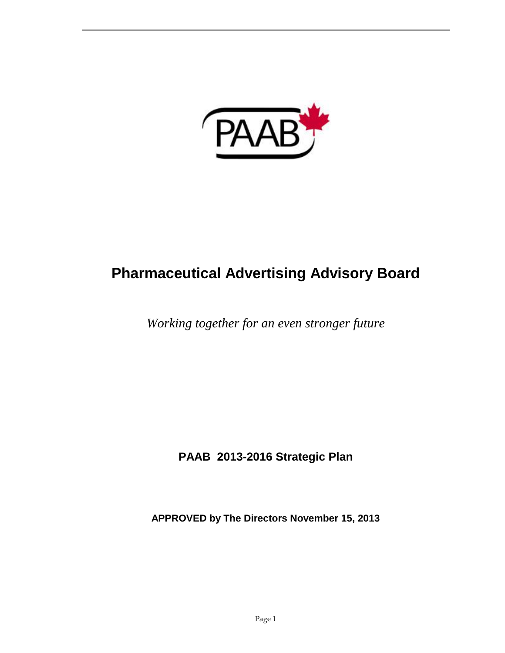

# **Pharmaceutical Advertising Advisory Board**

*Working together for an even stronger future*

**PAAB 2013-2016 Strategic Plan** 

**APPROVED by The Directors November 15, 2013**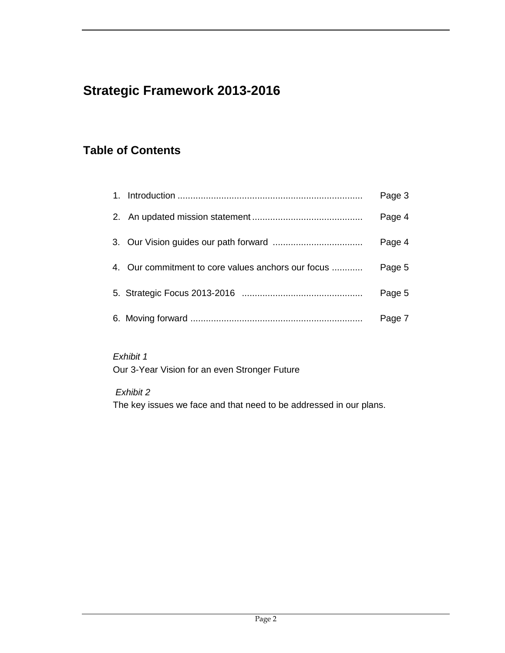## **Strategic Framework 2013-2016**

## **Table of Contents**

|                                                    | Page 3 |
|----------------------------------------------------|--------|
|                                                    | Page 4 |
|                                                    | Page 4 |
| 4. Our commitment to core values anchors our focus | Page 5 |
|                                                    | Page 5 |
|                                                    | Page 7 |

*Exhibit 1* Our 3-Year Vision for an even Stronger Future

*Exhibit 2*

The key issues we face and that need to be addressed in our plans.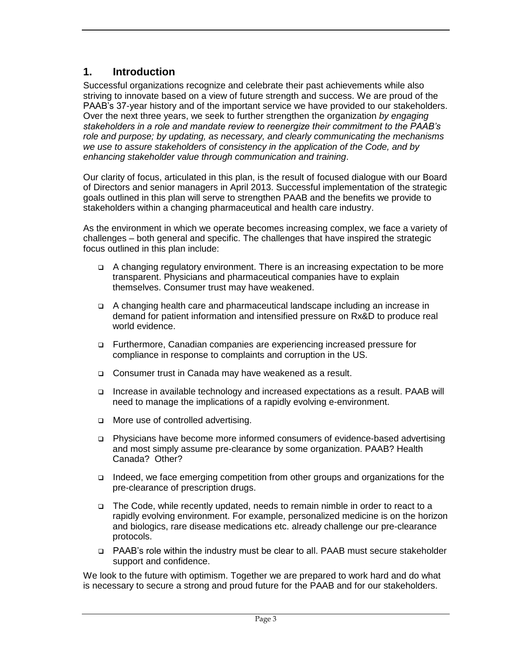#### **1. Introduction**

Successful organizations recognize and celebrate their past achievements while also striving to innovate based on a view of future strength and success. We are proud of the PAAB's 37-year history and of the important service we have provided to our stakeholders. Over the next three years, we seek to further strengthen the organization *by engaging stakeholders in a role and mandate review to reenergize their commitment to the PAAB's role and purpose; by updating, as necessary, and clearly communicating the mechanisms we use to assure stakeholders of consistency in the application of the Code, and by enhancing stakeholder value through communication and training*.

Our clarity of focus, articulated in this plan, is the result of focused dialogue with our Board of Directors and senior managers in April 2013. Successful implementation of the strategic goals outlined in this plan will serve to strengthen PAAB and the benefits we provide to stakeholders within a changing pharmaceutical and health care industry.

As the environment in which we operate becomes increasing complex, we face a variety of challenges – both general and specific. The challenges that have inspired the strategic focus outlined in this plan include:

- A changing regulatory environment. There is an increasing expectation to be more transparent. Physicians and pharmaceutical companies have to explain themselves. Consumer trust may have weakened.
- A changing health care and pharmaceutical landscape including an increase in demand for patient information and intensified pressure on Rx&D to produce real world evidence.
- □ Furthermore, Canadian companies are experiencing increased pressure for compliance in response to complaints and corruption in the US.
- Consumer trust in Canada may have weakened as a result.
- Increase in available technology and increased expectations as a result. PAAB will need to manage the implications of a rapidly evolving e-environment.
- □ More use of controlled advertising.
- Physicians have become more informed consumers of evidence-based advertising and most simply assume pre-clearance by some organization. PAAB? Health Canada? Other?
- Indeed, we face emerging competition from other groups and organizations for the pre-clearance of prescription drugs.
- The Code, while recently updated, needs to remain nimble in order to react to a rapidly evolving environment. For example, personalized medicine is on the horizon and biologics, rare disease medications etc. already challenge our pre-clearance protocols.
- PAAB's role within the industry must be clear to all. PAAB must secure stakeholder support and confidence.

We look to the future with optimism. Together we are prepared to work hard and do what is necessary to secure a strong and proud future for the PAAB and for our stakeholders.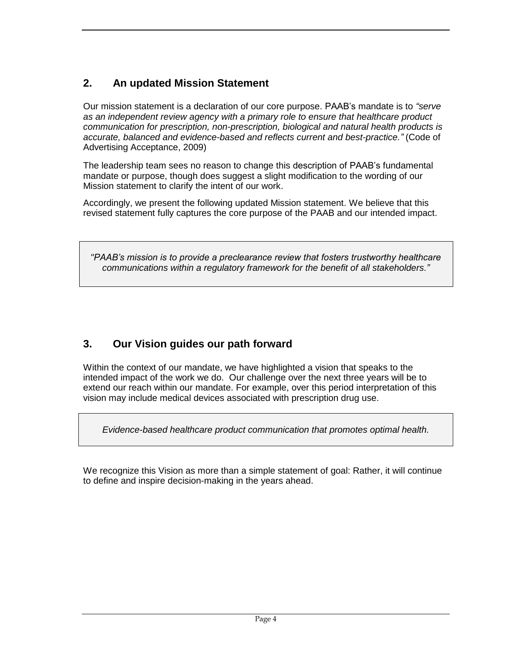## **2. An updated Mission Statement**

Our mission statement is a declaration of our core purpose. PAAB's mandate is to *"serve as an independent review agency with a primary role to ensure that healthcare product communication for prescription, non-prescription, biological and natural health products is accurate, balanced and evidence-based and reflects current and best-practice."* (Code of Advertising Acceptance, 2009)

The leadership team sees no reason to change this description of PAAB's fundamental mandate or purpose, though does suggest a slight modification to the wording of our Mission statement to clarify the intent of our work.

Accordingly, we present the following updated Mission statement. We believe that this revised statement fully captures the core purpose of the PAAB and our intended impact.

*"PAAB's mission is to provide a preclearance review that fosters trustworthy healthcare communications within a regulatory framework for the benefit of all stakeholders."*

## **3. Our Vision guides our path forward**

Within the context of our mandate, we have highlighted a vision that speaks to the intended impact of the work we do. Our challenge over the next three years will be to extend our reach within our mandate. For example, over this period interpretation of this vision may include medical devices associated with prescription drug use.

*Evidence-based healthcare product communication that promotes optimal health.*

We recognize this Vision as more than a simple statement of goal: Rather, it will continue to define and inspire decision-making in the years ahead.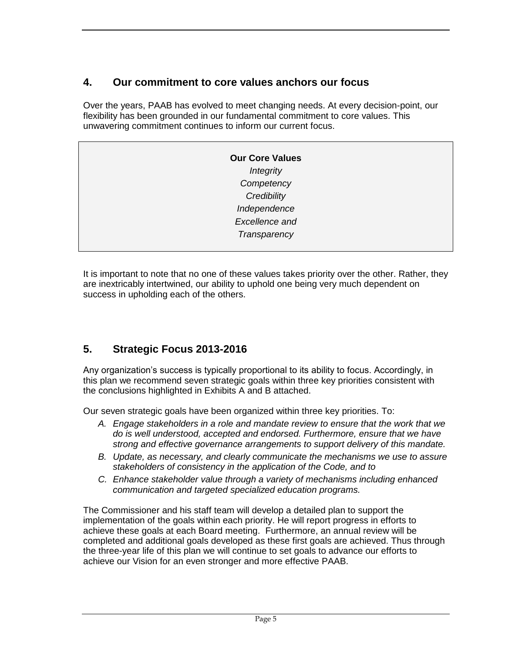#### **4. Our commitment to core values anchors our focus**

Over the years, PAAB has evolved to meet changing needs. At every decision-point, our flexibility has been grounded in our fundamental commitment to core values. This unwavering commitment continues to inform our current focus.

| <b>Our Core Values</b> |
|------------------------|
| <b>Integrity</b>       |
| Competency             |
| Credibility            |
| Independence           |
| Excellence and         |
| Transparency           |
|                        |

It is important to note that no one of these values takes priority over the other. Rather, they are inextricably intertwined, our ability to uphold one being very much dependent on success in upholding each of the others.

### **5. Strategic Focus 2013-2016**

Any organization's success is typically proportional to its ability to focus. Accordingly, in this plan we recommend seven strategic goals within three key priorities consistent with the conclusions highlighted in Exhibits A and B attached.

Our seven strategic goals have been organized within three key priorities. To:

- *A. Engage stakeholders in a role and mandate review to ensure that the work that we do is well understood, accepted and endorsed. Furthermore, ensure that we have strong and effective governance arrangements to support delivery of this mandate.*
- *B. Update, as necessary, and clearly communicate the mechanisms we use to assure stakeholders of consistency in the application of the Code, and to*
- *C. Enhance stakeholder value through a variety of mechanisms including enhanced communication and targeted specialized education programs.*

The Commissioner and his staff team will develop a detailed plan to support the implementation of the goals within each priority. He will report progress in efforts to achieve these goals at each Board meeting. Furthermore, an annual review will be completed and additional goals developed as these first goals are achieved. Thus through the three-year life of this plan we will continue to set goals to advance our efforts to achieve our Vision for an even stronger and more effective PAAB.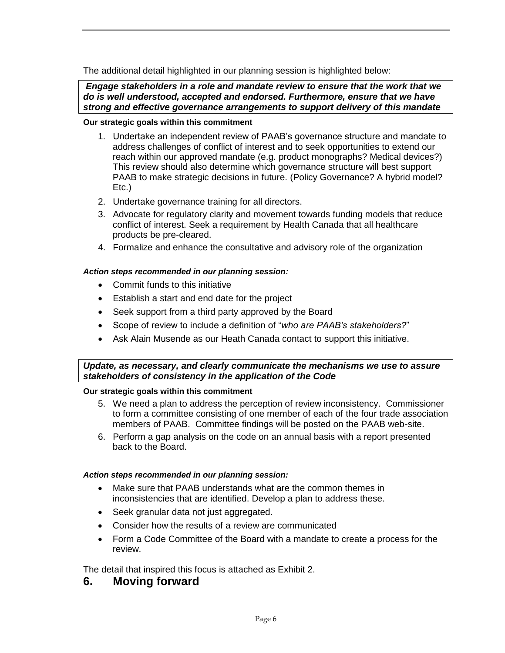The additional detail highlighted in our planning session is highlighted below:

*Engage stakeholders in a role and mandate review to ensure that the work that we do is well understood, accepted and endorsed. Furthermore, ensure that we have strong and effective governance arrangements to support delivery of this mandate*

#### **Our strategic goals within this commitment**

- 1. Undertake an independent review of PAAB's governance structure and mandate to address challenges of conflict of interest and to seek opportunities to extend our reach within our approved mandate (e.g. product monographs? Medical devices?) This review should also determine which governance structure will best support PAAB to make strategic decisions in future. (Policy Governance? A hybrid model? Etc.)
- 2. Undertake governance training for all directors.
- 3. Advocate for regulatory clarity and movement towards funding models that reduce conflict of interest. Seek a requirement by Health Canada that all healthcare products be pre-cleared.
- 4. Formalize and enhance the consultative and advisory role of the organization

#### *Action steps recommended in our planning session:*

- Commit funds to this initiative
- Establish a start and end date for the project
- Seek support from a third party approved by the Board
- Scope of review to include a definition of "*who are PAAB's stakeholders?*"
- Ask Alain Musende as our Heath Canada contact to support this initiative.

*Update, as necessary, and clearly communicate the mechanisms we use to assure stakeholders of consistency in the application of the Code*

#### **Our strategic goals within this commitment**

- 5. We need a plan to address the perception of review inconsistency. Commissioner to form a committee consisting of one member of each of the four trade association members of PAAB. Committee findings will be posted on the PAAB web-site.
- 6. Perform a gap analysis on the code on an annual basis with a report presented back to the Board.

#### *Action steps recommended in our planning session:*

- Make sure that PAAB understands what are the common themes in inconsistencies that are identified. Develop a plan to address these.
- Seek granular data not just aggregated.
- Consider how the results of a review are communicated
- Form a Code Committee of the Board with a mandate to create a process for the review.

The detail that inspired this focus is attached as Exhibit 2.

#### **6. Moving forward**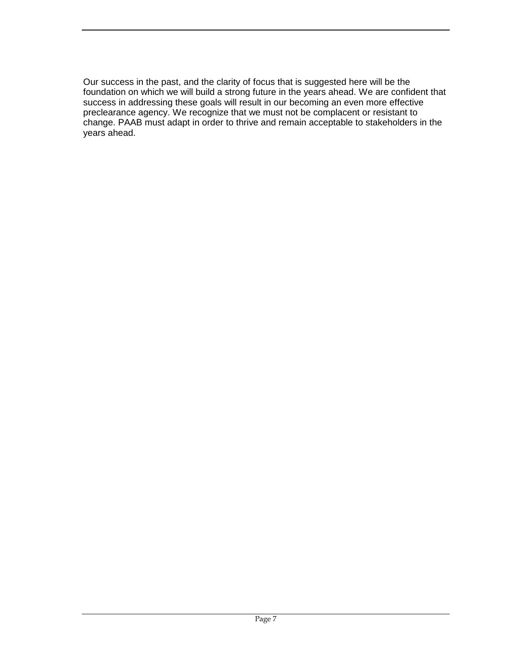Our success in the past, and the clarity of focus that is suggested here will be the foundation on which we will build a strong future in the years ahead. We are confident that success in addressing these goals will result in our becoming an even more effective preclearance agency. We recognize that we must not be complacent or resistant to change. PAAB must adapt in order to thrive and remain acceptable to stakeholders in the years ahead.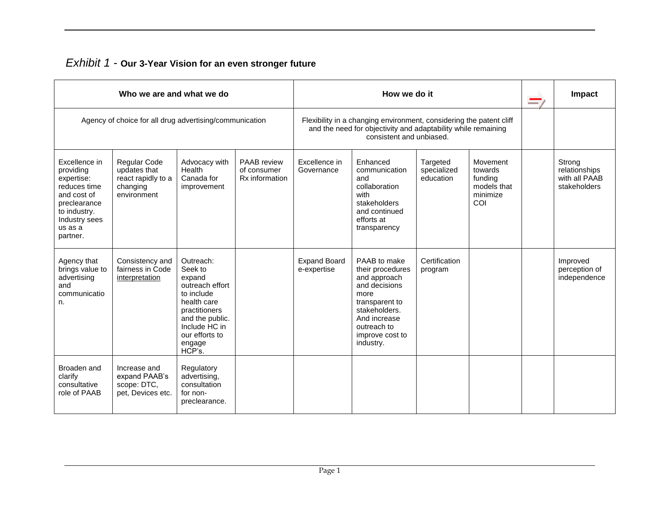| <b>Exhibit 1 - Our 3-Year Vision for an even stronger future</b> |  |
|------------------------------------------------------------------|--|
|------------------------------------------------------------------|--|

| Who we are and what we do                                                                                                                       |                                                                                      |                                                                                                                                                                           |                                              | How we do it                                                                                                                                                     |                                                                                                                                                                             |                                      |                                                                  | <u>and</u> | Impact                                                   |
|-------------------------------------------------------------------------------------------------------------------------------------------------|--------------------------------------------------------------------------------------|---------------------------------------------------------------------------------------------------------------------------------------------------------------------------|----------------------------------------------|------------------------------------------------------------------------------------------------------------------------------------------------------------------|-----------------------------------------------------------------------------------------------------------------------------------------------------------------------------|--------------------------------------|------------------------------------------------------------------|------------|----------------------------------------------------------|
| Agency of choice for all drug advertising/communication                                                                                         |                                                                                      |                                                                                                                                                                           |                                              | Flexibility in a changing environment, considering the patent cliff<br>and the need for objectivity and adaptability while remaining<br>consistent and unbiased. |                                                                                                                                                                             |                                      |                                                                  |            |                                                          |
| Excellence in<br>providing<br>expertise:<br>reduces time<br>and cost of<br>preclearance<br>to industry.<br>Industry sees<br>us as a<br>partner. | <b>Regular Code</b><br>updates that<br>react rapidly to a<br>changing<br>environment | Advocacy with<br>Health<br>Canada for<br>improvement                                                                                                                      | PAAB review<br>of consumer<br>Rx information | Excellence in<br>Governance                                                                                                                                      | Enhanced<br>communication<br>and<br>collaboration<br>with<br>stakeholders<br>and continued<br>efforts at<br>transparency                                                    | Targeted<br>specialized<br>education | Movement<br>towards<br>funding<br>models that<br>minimize<br>COI |            | Strong<br>relationships<br>with all PAAB<br>stakeholders |
| Agency that<br>brings value to<br>advertising<br>and<br>communicatio<br>n.                                                                      | Consistency and<br>fairness in Code<br>interpretation                                | Outreach:<br>Seek to<br>expand<br>outreach effort<br>to include<br>health care<br>practitioners<br>and the public.<br>Include HC in<br>our efforts to<br>engage<br>HCP's. |                                              | <b>Expand Board</b><br>e-expertise                                                                                                                               | PAAB to make<br>their procedures<br>and approach<br>and decisions<br>more<br>transparent to<br>stakeholders.<br>And increase<br>outreach to<br>improve cost to<br>industry. | Certification<br>program             |                                                                  |            | Improved<br>perception of<br>independence                |
| Broaden and<br>clarify<br>consultative<br>role of PAAB                                                                                          | Increase and<br>expand PAAB's<br>scope: DTC,<br>pet, Devices etc.                    | Regulatory<br>advertising,<br>consultation<br>for non-<br>preclearance.                                                                                                   |                                              |                                                                                                                                                                  |                                                                                                                                                                             |                                      |                                                                  |            |                                                          |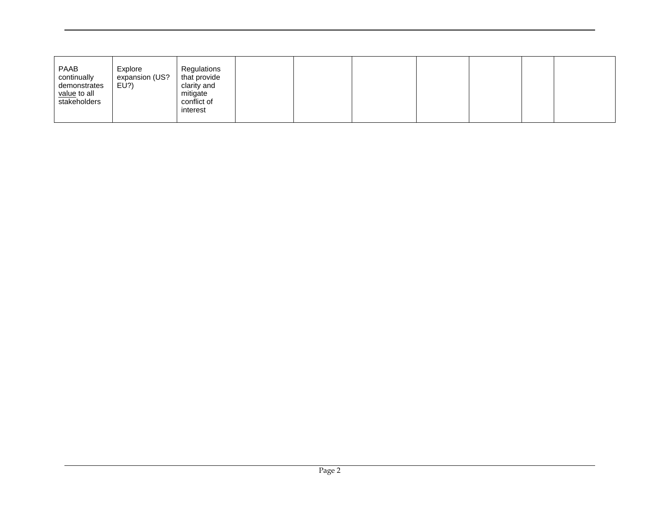| PAAB<br>Explore<br>expansion (US?<br>continually<br>EU?)<br>demonstrates<br>value to all<br>stakeholders | Regulations<br>that provide<br>clarity and<br>mitigate<br>conflict of<br>interest |  |  |  |  |
|----------------------------------------------------------------------------------------------------------|-----------------------------------------------------------------------------------|--|--|--|--|
|----------------------------------------------------------------------------------------------------------|-----------------------------------------------------------------------------------|--|--|--|--|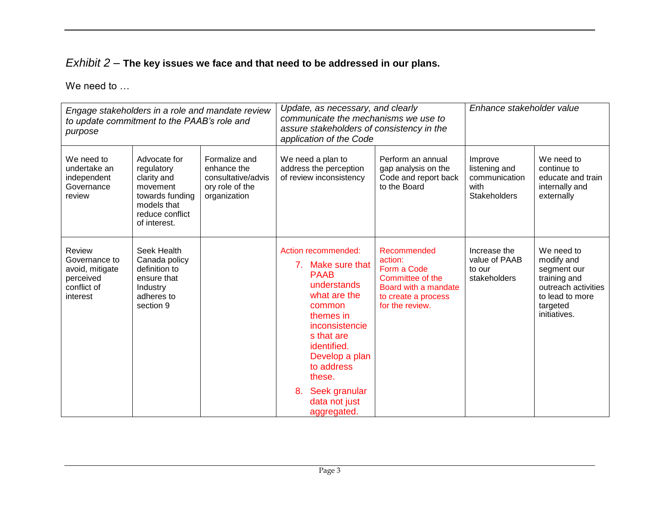## *Exhibit 2* – **The key issues we face and that need to be addressed in our plans.**

We need to ...

| Engage stakeholders in a role and mandate review<br>to update commitment to the PAAB's role and<br>purpose |                                                                                                                            |                                                                                       | Update, as necessary, and clearly<br>communicate the mechanisms we use to<br>assure stakeholders of consistency in the<br>application of the Code                                                                                                             |                                                                                                                             | Enhance stakeholder value                                                |                                                                                                                               |  |  |
|------------------------------------------------------------------------------------------------------------|----------------------------------------------------------------------------------------------------------------------------|---------------------------------------------------------------------------------------|---------------------------------------------------------------------------------------------------------------------------------------------------------------------------------------------------------------------------------------------------------------|-----------------------------------------------------------------------------------------------------------------------------|--------------------------------------------------------------------------|-------------------------------------------------------------------------------------------------------------------------------|--|--|
| We need to<br>undertake an<br>independent<br>Governance<br>review                                          | Advocate for<br>regulatory<br>clarity and<br>movement<br>towards funding<br>models that<br>reduce conflict<br>of interest. | Formalize and<br>enhance the<br>consultative/advis<br>ory role of the<br>organization | We need a plan to<br>address the perception<br>of review inconsistency                                                                                                                                                                                        | Perform an annual<br>gap analysis on the<br>Code and report back<br>to the Board                                            | Improve<br>listening and<br>communication<br>with<br><b>Stakeholders</b> | We need to<br>continue to<br>educate and train<br>internally and<br>externally                                                |  |  |
| Review<br>Governance to<br>avoid, mitigate<br>perceived<br>conflict of<br>interest                         | Seek Health<br>Canada policy<br>definition to<br>ensure that<br>Industry<br>adheres to<br>section 9                        |                                                                                       | Action recommended:<br>7. Make sure that<br><b>PAAB</b><br>understands<br>what are the<br>common<br>themes in<br>inconsistencie<br>s that are<br>identified.<br>Develop a plan<br>to address<br>these.<br>8.<br>Seek granular<br>data not just<br>aggregated. | Recommended<br>action:<br>Form a Code<br>Committee of the<br>Board with a mandate<br>to create a process<br>for the review. | Increase the<br>value of PAAB<br>to our<br>stakeholders                  | We need to<br>modify and<br>segment our<br>training and<br>outreach activities<br>to lead to more<br>targeted<br>initiatives. |  |  |